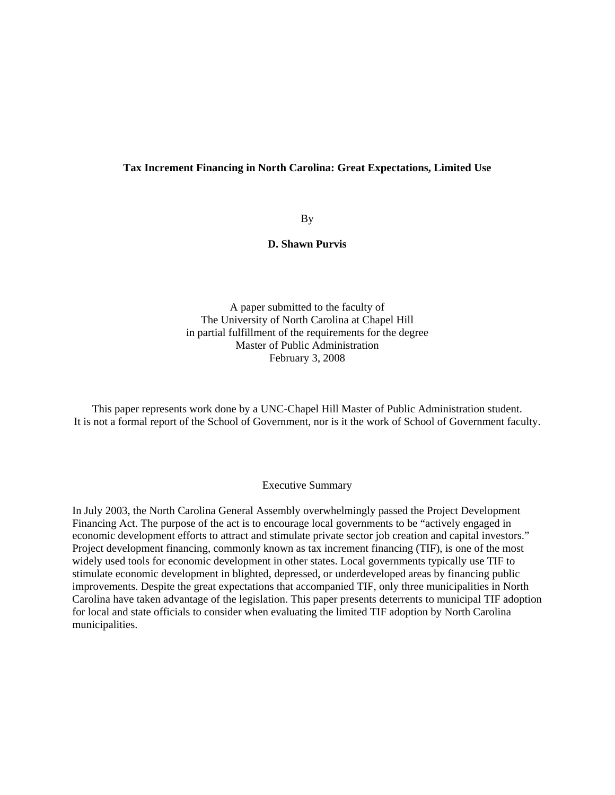#### **Tax Increment Financing in North Carolina: Great Expectations, Limited Use**

By

**D. Shawn Purvis** 

A paper submitted to the faculty of The University of North Carolina at Chapel Hill in partial fulfillment of the requirements for the degree Master of Public Administration February 3, 2008

This paper represents work done by a UNC-Chapel Hill Master of Public Administration student. It is not a formal report of the School of Government, nor is it the work of School of Government faculty.

#### Executive Summary

In July 2003, the North Carolina General Assembly overwhelmingly passed the Project Development Financing Act. The purpose of the act is to encourage local governments to be "actively engaged in economic development efforts to attract and stimulate private sector job creation and capital investors." Project development financing, commonly known as tax increment financing (TIF), is one of the most widely used tools for economic development in other states. Local governments typically use TIF to stimulate economic development in blighted, depressed, or underdeveloped areas by financing public improvements. Despite the great expectations that accompanied TIF, only three municipalities in North Carolina have taken advantage of the legislation. This paper presents deterrents to municipal TIF adoption for local and state officials to consider when evaluating the limited TIF adoption by North Carolina municipalities.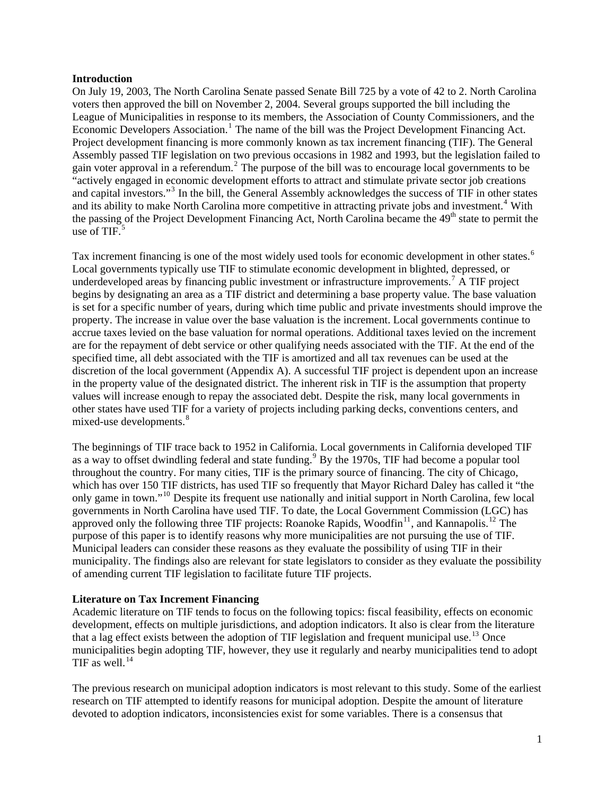#### **Introduction**

On July 19, 2003, The North Carolina Senate passed Senate Bill 725 by a vote of 42 to 2. North Carolina voters then approved the bill on November 2, 2004. Several groups supported the bill including the League of Municipalities in response to its members, the Association of County Commissioners, and the Economic Developers Association.<sup>[1](#page-6-0)</sup> The name of the bill was the Project Development Financing Act. Project development financing is more commonly known as tax increment financing (TIF). The General Assembly passed TIF legislation on two previous occasions in 1982 and 1993, but the legislation failed to gain voter approval in a referendum.<sup>[2](#page-6-1)</sup> The purpose of the bill was to encourage local governments to be "actively engaged in economic development efforts to attract and stimulate private sector job creations and capital investors."<sup>[3](#page-6-1)</sup> In the bill, the General Assembly acknowledges the success of TIF in other states and its ability to make North Carolina more competitive in attracting private jobs and investment.<sup>[4](#page-6-1)</sup> With the passing of the Project Development Financing Act, North Carolina became the 49<sup>th</sup> state to permit the use of TIF. $5$ 

Tax increment financing is one of the most widely used tools for economic development in other states.<sup>[6](#page-6-1)</sup> Local governments typically use TIF to stimulate economic development in blighted, depressed, or underdeveloped areas by financing public investment or infrastructure improvements.<sup>[7](#page-6-1)</sup> A TIF project begins by designating an area as a TIF district and determining a base property value. The base valuation is set for a specific number of years, during which time public and private investments should improve the property. The increase in value over the base valuation is the increment. Local governments continue to accrue taxes levied on the base valuation for normal operations. Additional taxes levied on the increment are for the repayment of debt service or other qualifying needs associated with the TIF. At the end of the specified time, all debt associated with the TIF is amortized and all tax revenues can be used at the discretion of the local government (Appendix A). A successful TIF project is dependent upon an increase in the property value of the designated district. The inherent risk in TIF is the assumption that property values will increase enough to repay the associated debt. Despite the risk, many local governments in other states have used TIF for a variety of projects including parking decks, conventions centers, and mixed-use developments.<sup>[8](#page-6-1)</sup>

The beginnings of TIF trace back to 1952 in California. Local governments in California developed TIF as a way to offset dwindling federal and state funding.<sup>[9](#page-6-1)</sup> By the 1970s, TIF had become a popular tool throughout the country. For many cities, TIF is the primary source of financing. The city of Chicago, which has over 150 TIF districts, has used TIF so frequently that Mayor Richard Daley has called it "the only game in town."[10](#page-6-1) Despite its frequent use nationally and initial support in North Carolina, few local governments in North Carolina have used TIF. To date, the Local Government Commission (LGC) has approved only the following three TIF projects: Roanoke Rapids, Woodfin<sup>[11](#page-6-1)</sup>, and Kannapolis.<sup>[12](#page-6-1)</sup> The purpose of this paper is to identify reasons why more municipalities are not pursuing the use of TIF. Municipal leaders can consider these reasons as they evaluate the possibility of using TIF in their municipality. The findings also are relevant for state legislators to consider as they evaluate the possibility of amending current TIF legislation to facilitate future TIF projects.

## **Literature on Tax Increment Financing**

Academic literature on TIF tends to focus on the following topics: fiscal feasibility, effects on economic development, effects on multiple jurisdictions, and adoption indicators. It also is clear from the literature that a lag effect exists between the adoption of TIF legislation and frequent municipal use.<sup>[13](#page-6-1)</sup> Once municipalities begin adopting TIF, however, they use it regularly and nearby municipalities tend to adopt TIF as well. $^{14}$  $^{14}$  $^{14}$ 

The previous research on municipal adoption indicators is most relevant to this study. Some of the earliest research on TIF attempted to identify reasons for municipal adoption. Despite the amount of literature devoted to adoption indicators, inconsistencies exist for some variables. There is a consensus that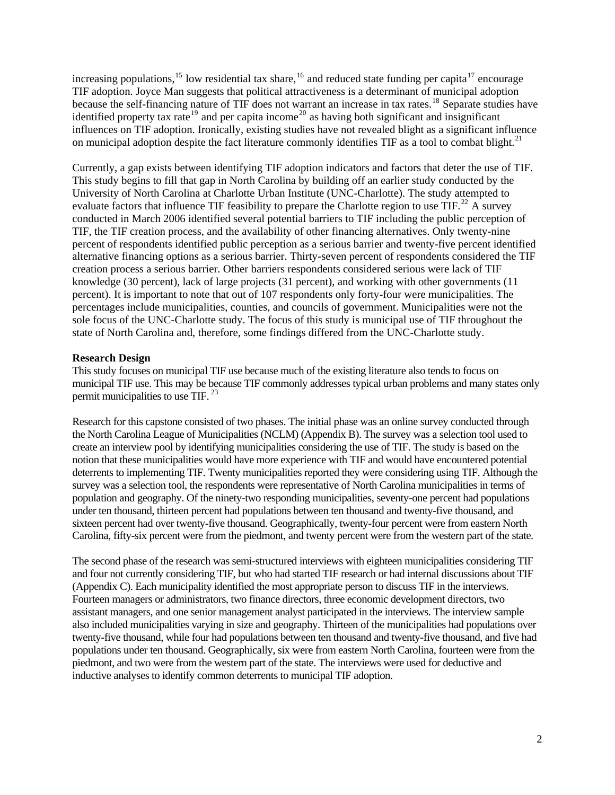increasing populations,<sup>[15](#page-6-1)</sup> low residential tax share,<sup>[16](#page-6-1)</sup> and reduced state funding per capita<sup>[17](#page-6-1)</sup> encourage TIF adoption. Joyce Man suggests that political attractiveness is a determinant of municipal adoption because the self-financing nature of TIF does not warrant an increase in tax rates.<sup>[18](#page-6-1)</sup> Separate studies have identified property tax rate<sup>[19](#page-6-1)</sup> and per capita income<sup>[20](#page-6-1)</sup> as having both significant and insignificant influences on TIF adoption. Ironically, existing studies have not revealed blight as a significant influence on municipal adoption despite the fact literature commonly identifies TIF as a tool to combat blight.<sup>[21](#page-6-1)</sup>

Currently, a gap exists between identifying TIF adoption indicators and factors that deter the use of TIF. This study begins to fill that gap in North Carolina by building off an earlier study conducted by the University of North Carolina at Charlotte Urban Institute (UNC-Charlotte). The study attempted to evaluate factors that influence TIF feasibility to prepare the Charlotte region to use  $\text{TIF.}^{22}$  $\text{TIF.}^{22}$  $\text{TIF.}^{22}$  A survey conducted in March 2006 identified several potential barriers to TIF including the public perception of TIF, the TIF creation process, and the availability of other financing alternatives. Only twenty-nine percent of respondents identified public perception as a serious barrier and twenty-five percent identified alternative financing options as a serious barrier. Thirty-seven percent of respondents considered the TIF creation process a serious barrier. Other barriers respondents considered serious were lack of TIF knowledge (30 percent), lack of large projects (31 percent), and working with other governments (11 percent). It is important to note that out of 107 respondents only forty-four were municipalities. The percentages include municipalities, counties, and councils of government. Municipalities were not the sole focus of the UNC-Charlotte study. The focus of this study is municipal use of TIF throughout the state of North Carolina and, therefore, some findings differed from the UNC-Charlotte study.

## **Research Design**

This study focuses on municipal TIF use because much of the existing literature also tends to focus on municipal TIF use. This may be because TIF commonly addresses typical urban problems and many states only permit municipalities to use TIF.<sup>[23](#page-6-1)</sup>

Research for this capstone consisted of two phases. The initial phase was an online survey conducted through the North Carolina League of Municipalities (NCLM) (Appendix B). The survey was a selection tool used to create an interview pool by identifying municipalities considering the use of TIF. The study is based on the notion that these municipalities would have more experience with TIF and would have encountered potential deterrents to implementing TIF. Twenty municipalities reported they were considering using TIF. Although the survey was a selection tool, the respondents were representative of North Carolina municipalities in terms of population and geography. Of the ninety-two responding municipalities, seventy-one percent had populations under ten thousand, thirteen percent had populations between ten thousand and twenty-five thousand, and sixteen percent had over twenty-five thousand. Geographically, twenty-four percent were from eastern North Carolina, fifty-six percent were from the piedmont, and twenty percent were from the western part of the state.

The second phase of the research was semi-structured interviews with eighteen municipalities considering TIF and four not currently considering TIF, but who had started TIF research or had internal discussions about TIF (Appendix C). Each municipality identified the most appropriate person to discuss TIF in the interviews. Fourteen managers or administrators, two finance directors, three economic development directors, two assistant managers, and one senior management analyst participated in the interviews. The interview sample also included municipalities varying in size and geography. Thirteen of the municipalities had populations over twenty-five thousand, while four had populations between ten thousand and twenty-five thousand, and five had populations under ten thousand. Geographically, six were from eastern North Carolina, fourteen were from the piedmont, and two were from the western part of the state. The interviews were used for deductive and inductive analyses to identify common deterrents to municipal TIF adoption.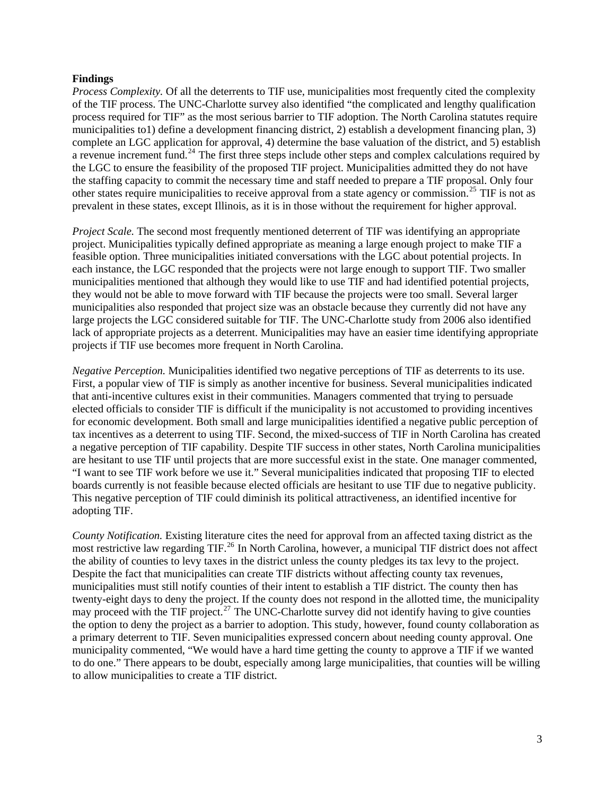#### **Findings**

*Process Complexity.* Of all the deterrents to TIF use, municipalities most frequently cited the complexity of the TIF process. The UNC-Charlotte survey also identified "the complicated and lengthy qualification process required for TIF" as the most serious barrier to TIF adoption. The North Carolina statutes require municipalities to1) define a development financing district, 2) establish a development financing plan, 3) complete an LGC application for approval, 4) determine the base valuation of the district, and 5) establish a revenue increment fund.<sup>[24](#page-6-1)</sup> The first three steps include other steps and complex calculations required by the LGC to ensure the feasibility of the proposed TIF project. Municipalities admitted they do not have the staffing capacity to commit the necessary time and staff needed to prepare a TIF proposal. Only four other states require municipalities to receive approval from a state agency or commission.<sup>[25](#page-6-1)</sup> TIF is not as prevalent in these states, except Illinois, as it is in those without the requirement for higher approval.

*Project Scale.* The second most frequently mentioned deterrent of TIF was identifying an appropriate project. Municipalities typically defined appropriate as meaning a large enough project to make TIF a feasible option. Three municipalities initiated conversations with the LGC about potential projects. In each instance, the LGC responded that the projects were not large enough to support TIF. Two smaller municipalities mentioned that although they would like to use TIF and had identified potential projects, they would not be able to move forward with TIF because the projects were too small. Several larger municipalities also responded that project size was an obstacle because they currently did not have any large projects the LGC considered suitable for TIF. The UNC-Charlotte study from 2006 also identified lack of appropriate projects as a deterrent. Municipalities may have an easier time identifying appropriate projects if TIF use becomes more frequent in North Carolina.

*Negative Perception.* Municipalities identified two negative perceptions of TIF as deterrents to its use. First, a popular view of TIF is simply as another incentive for business. Several municipalities indicated that anti-incentive cultures exist in their communities. Managers commented that trying to persuade elected officials to consider TIF is difficult if the municipality is not accustomed to providing incentives for economic development. Both small and large municipalities identified a negative public perception of tax incentives as a deterrent to using TIF. Second, the mixed-success of TIF in North Carolina has created a negative perception of TIF capability. Despite TIF success in other states, North Carolina municipalities are hesitant to use TIF until projects that are more successful exist in the state. One manager commented, "I want to see TIF work before we use it." Several municipalities indicated that proposing TIF to elected boards currently is not feasible because elected officials are hesitant to use TIF due to negative publicity. This negative perception of TIF could diminish its political attractiveness, an identified incentive for adopting TIF.

*County Notification.* Existing literature cites the need for approval from an affected taxing district as the most restrictive law regarding TIF.[26](#page-6-1) In North Carolina, however, a municipal TIF district does not affect the ability of counties to levy taxes in the district unless the county pledges its tax levy to the project. Despite the fact that municipalities can create TIF districts without affecting county tax revenues, municipalities must still notify counties of their intent to establish a TIF district. The county then has twenty-eight days to deny the project. If the county does not respond in the allotted time, the municipality may proceed with the TIF project.<sup>[27](#page-6-1)</sup> The UNC-Charlotte survey did not identify having to give counties the option to deny the project as a barrier to adoption. This study, however, found county collaboration as a primary deterrent to TIF. Seven municipalities expressed concern about needing county approval. One municipality commented, "We would have a hard time getting the county to approve a TIF if we wanted to do one." There appears to be doubt, especially among large municipalities, that counties will be willing to allow municipalities to create a TIF district.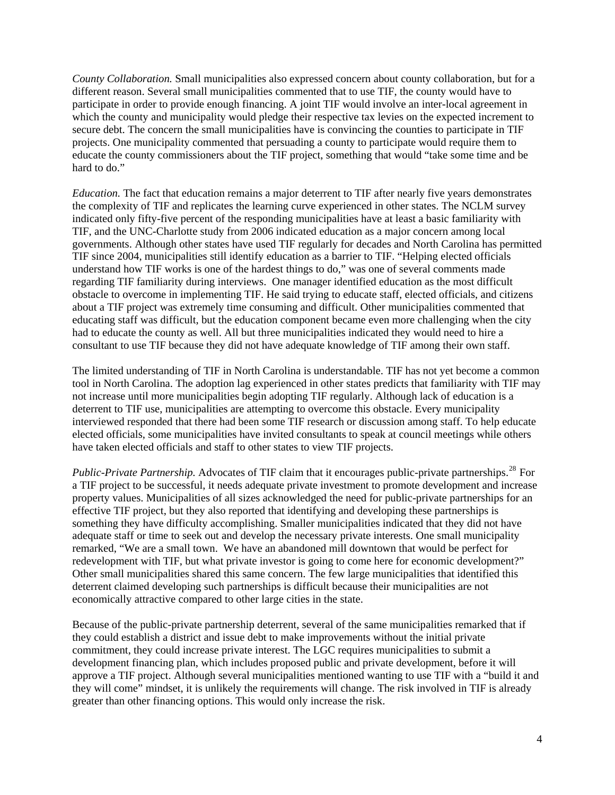*County Collaboration.* Small municipalities also expressed concern about county collaboration, but for a different reason. Several small municipalities commented that to use TIF, the county would have to participate in order to provide enough financing. A joint TIF would involve an inter-local agreement in which the county and municipality would pledge their respective tax levies on the expected increment to secure debt. The concern the small municipalities have is convincing the counties to participate in TIF projects. One municipality commented that persuading a county to participate would require them to educate the county commissioners about the TIF project, something that would "take some time and be hard to do."

*Education.* The fact that education remains a major deterrent to TIF after nearly five years demonstrates the complexity of TIF and replicates the learning curve experienced in other states. The NCLM survey indicated only fifty-five percent of the responding municipalities have at least a basic familiarity with TIF, and the UNC-Charlotte study from 2006 indicated education as a major concern among local governments. Although other states have used TIF regularly for decades and North Carolina has permitted TIF since 2004, municipalities still identify education as a barrier to TIF. "Helping elected officials understand how TIF works is one of the hardest things to do," was one of several comments made regarding TIF familiarity during interviews. One manager identified education as the most difficult obstacle to overcome in implementing TIF. He said trying to educate staff, elected officials, and citizens about a TIF project was extremely time consuming and difficult. Other municipalities commented that educating staff was difficult, but the education component became even more challenging when the city had to educate the county as well. All but three municipalities indicated they would need to hire a consultant to use TIF because they did not have adequate knowledge of TIF among their own staff.

The limited understanding of TIF in North Carolina is understandable. TIF has not yet become a common tool in North Carolina. The adoption lag experienced in other states predicts that familiarity with TIF may not increase until more municipalities begin adopting TIF regularly. Although lack of education is a deterrent to TIF use, municipalities are attempting to overcome this obstacle. Every municipality interviewed responded that there had been some TIF research or discussion among staff. To help educate elected officials, some municipalities have invited consultants to speak at council meetings while others have taken elected officials and staff to other states to view TIF projects.

*Public-Private Partnership.* Advocates of TIF claim that it encourages public-private partnerships.<sup>[28](#page-6-1)</sup> For a TIF project to be successful, it needs adequate private investment to promote development and increase property values. Municipalities of all sizes acknowledged the need for public-private partnerships for an effective TIF project, but they also reported that identifying and developing these partnerships is something they have difficulty accomplishing. Smaller municipalities indicated that they did not have adequate staff or time to seek out and develop the necessary private interests. One small municipality remarked, "We are a small town. We have an abandoned mill downtown that would be perfect for redevelopment with TIF, but what private investor is going to come here for economic development?" Other small municipalities shared this same concern. The few large municipalities that identified this deterrent claimed developing such partnerships is difficult because their municipalities are not economically attractive compared to other large cities in the state.

Because of the public-private partnership deterrent, several of the same municipalities remarked that if they could establish a district and issue debt to make improvements without the initial private commitment, they could increase private interest. The LGC requires municipalities to submit a development financing plan, which includes proposed public and private development, before it will approve a TIF project. Although several municipalities mentioned wanting to use TIF with a "build it and they will come" mindset, it is unlikely the requirements will change. The risk involved in TIF is already greater than other financing options. This would only increase the risk.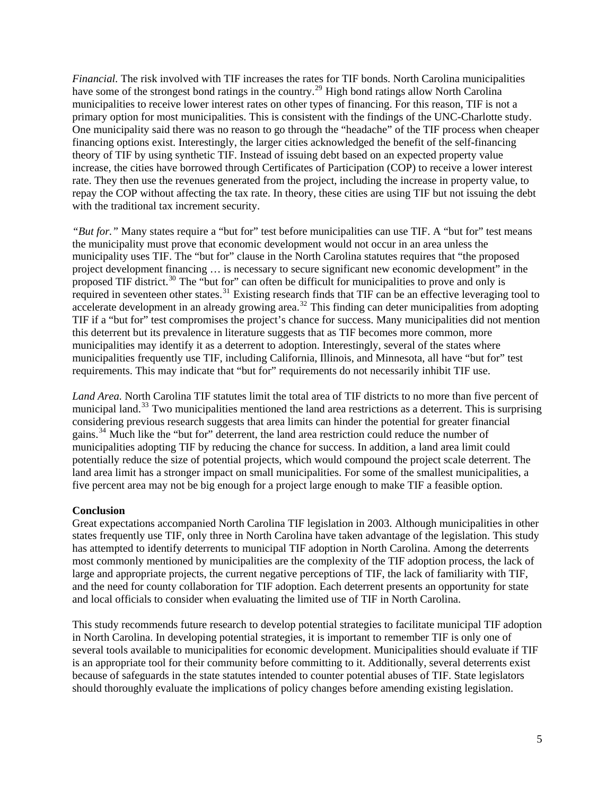*Financial.* The risk involved with TIF increases the rates for TIF bonds. North Carolina municipalities have some of the strongest bond ratings in the country.<sup>[29](#page-6-1)</sup> High bond ratings allow North Carolina municipalities to receive lower interest rates on other types of financing. For this reason, TIF is not a primary option for most municipalities. This is consistent with the findings of the UNC-Charlotte study. One municipality said there was no reason to go through the "headache" of the TIF process when cheaper financing options exist. Interestingly, the larger cities acknowledged the benefit of the self-financing theory of TIF by using synthetic TIF. Instead of issuing debt based on an expected property value increase, the cities have borrowed through Certificates of Participation (COP) to receive a lower interest rate. They then use the revenues generated from the project, including the increase in property value, to repay the COP without affecting the tax rate. In theory, these cities are using TIF but not issuing the debt with the traditional tax increment security.

*"But for."* Many states require a "but for" test before municipalities can use TIF. A "but for" test means the municipality must prove that economic development would not occur in an area unless the municipality uses TIF. The "but for" clause in the North Carolina statutes requires that "the proposed project development financing … is necessary to secure significant new economic development" in the proposed TIF district.<sup>[30](#page-6-1)</sup> The "but for" can often be difficult for municipalities to prove and only is required in seventeen other states.<sup>[31](#page-6-1)</sup> Existing research finds that TIF can be an effective leveraging tool to accelerate development in an already growing area.<sup>[32](#page-6-1)</sup> This finding can deter municipalities from adopting TIF if a "but for" test compromises the project's chance for success. Many municipalities did not mention this deterrent but its prevalence in literature suggests that as TIF becomes more common, more municipalities may identify it as a deterrent to adoption. Interestingly, several of the states where municipalities frequently use TIF, including California, Illinois, and Minnesota, all have "but for" test requirements. This may indicate that "but for" requirements do not necessarily inhibit TIF use.

*Land Area.* North Carolina TIF statutes limit the total area of TIF districts to no more than five percent of municipal land.<sup>[33](#page-6-1)</sup> Two municipalities mentioned the land area restrictions as a deterrent. This is surprising considering previous research suggests that area limits can hinder the potential for greater financial gains.[34](#page-6-1) Much like the "but for" deterrent, the land area restriction could reduce the number of municipalities adopting TIF by reducing the chance for success. In addition, a land area limit could potentially reduce the size of potential projects, which would compound the project scale deterrent. The land area limit has a stronger impact on small municipalities. For some of the smallest municipalities, a five percent area may not be big enough for a project large enough to make TIF a feasible option.

## **Conclusion**

Great expectations accompanied North Carolina TIF legislation in 2003. Although municipalities in other states frequently use TIF, only three in North Carolina have taken advantage of the legislation. This study has attempted to identify deterrents to municipal TIF adoption in North Carolina. Among the deterrents most commonly mentioned by municipalities are the complexity of the TIF adoption process, the lack of large and appropriate projects, the current negative perceptions of TIF, the lack of familiarity with TIF, and the need for county collaboration for TIF adoption. Each deterrent presents an opportunity for state and local officials to consider when evaluating the limited use of TIF in North Carolina.

This study recommends future research to develop potential strategies to facilitate municipal TIF adoption in North Carolina. In developing potential strategies, it is important to remember TIF is only one of several tools available to municipalities for economic development. Municipalities should evaluate if TIF is an appropriate tool for their community before committing to it. Additionally, several deterrents exist because of safeguards in the state statutes intended to counter potential abuses of TIF. State legislators should thoroughly evaluate the implications of policy changes before amending existing legislation.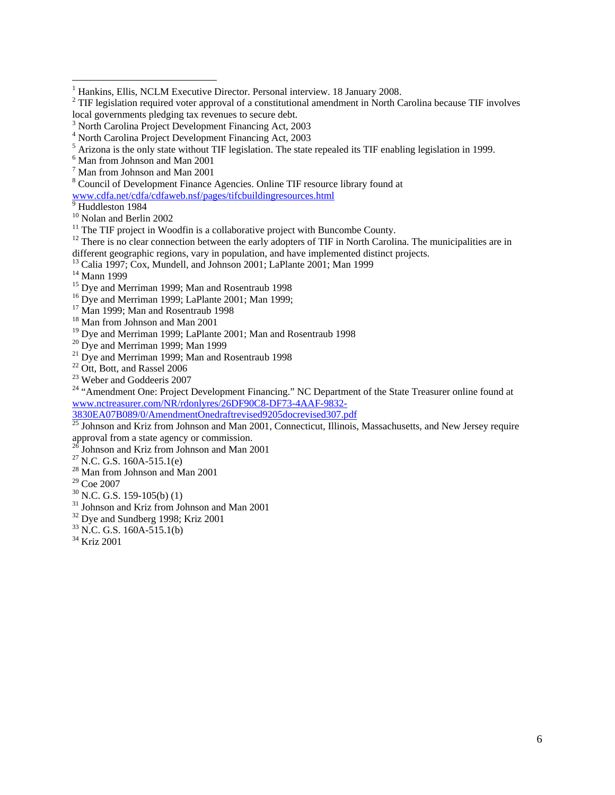[www.cdfa.net/cdfa/cdfaweb.nsf/pages/tifcbuildingresources.html](http://www.cdfa.net/cdfa/cdfaweb.nsf/pages/tifcbuildingresources.html) <sup>9</sup>

 $9$  Huddleston 1984

 $11$  The TIF project in Woodfin is a collaborative project with Buncombe County.

 $12$  There is no clear connection between the early adopters of TIF in North Carolina. The municipalities are in different geographic regions, vary in population, and have implemented distinct projects.

13 Calia 1997; Cox, Mundell, and Johnson 2001; LaPlante 2001; Man 1999

 $14$  Mann 1999

- $16$  Dye and Merriman 1999; LaPlante 2001; Man 1999;
- <sup>17</sup> Man 1999; Man and Rosentraub 1998
- 18 Man from Johnson and Man 2001
- <sup>19</sup> Dye and Merriman 1999; LaPlante 2001; Man and Rosentraub 1998
- $20$  Dye and Merriman 1999; Man 1999
- <sup>21</sup> Dye and Merriman 1999; Man and Rosentraub 1998
- <sup>22</sup> Ott, Bott, and Rassel 2006
- 23 Weber and Goddeeris 2007

<sup>24</sup> "Amendment One: Project Development Financing." NC Department of the State Treasurer online found at [www.nctreasurer.com/NR/rdonlyres/26DF90C8-DF73-4AAF-9832-](http://www.nctreasurer.com/NR/rdonlyres/26DF90C8-DF73-4AAF-9832-3830EA07B089/0/AmendmentOnedraftrevised9205docrevised307.pdf)<br>3830EA07B089/0/AmendmentOnedraftrevised9205docrevised307.pdf

 $\frac{25}{25}$  Johnson and Kriz from Johnson and Man 2001, Connecticut, Illinois, Massachusetts, and New Jersey require approval from a state agency or commission.<br><sup>26</sup> Johnson and Kriz from Johnson and Man 2001<br><sup>27</sup> N.C. G.S. 160A-515.1(e)

- 
- 
- $28$  Man from Johnson and Man 2001

29 Coe 2007

- $30$  N.C. G.S. 159-105(b) (1)
- <sup>31</sup> Johnson and Kriz from Johnson and Man 2001
- <sup>32</sup> Dye and Sundberg 1998; Kriz 2001
- $33$  N.C. G.S. 160A-515.1(b)
- 34 Kriz 2001

<span id="page-6-1"></span><sup>&</sup>lt;sup>1</sup><br><sup>1</sup> Hankins, Ellis, NCLM Executive Director. Personal interview. 18 January 2008.

<span id="page-6-0"></span><sup>&</sup>lt;sup>2</sup> TIF legislation required voter approval of a constitutional amendment in North Carolina because TIF involves local governments pledging tax revenues to secure debt.

<sup>&</sup>lt;sup>3</sup> North Carolina Project Development Financing Act, 2003

<sup>4</sup> North Carolina Project Development Financing Act, 2003

 $^5$  Arizona is the only state without TIF legislation. The state repealed its TIF enabling legislation in 1999.

Man from Johnson and Man 2001

<sup>7</sup> Man from Johnson and Man 2001

<sup>&</sup>lt;sup>8</sup> Council of Development Finance Agencies. Online TIF resource library found at

<sup>10</sup> Nolan and Berlin 2002

<sup>&</sup>lt;sup>15</sup> Dye and Merriman 1999; Man and Rosentraub 1998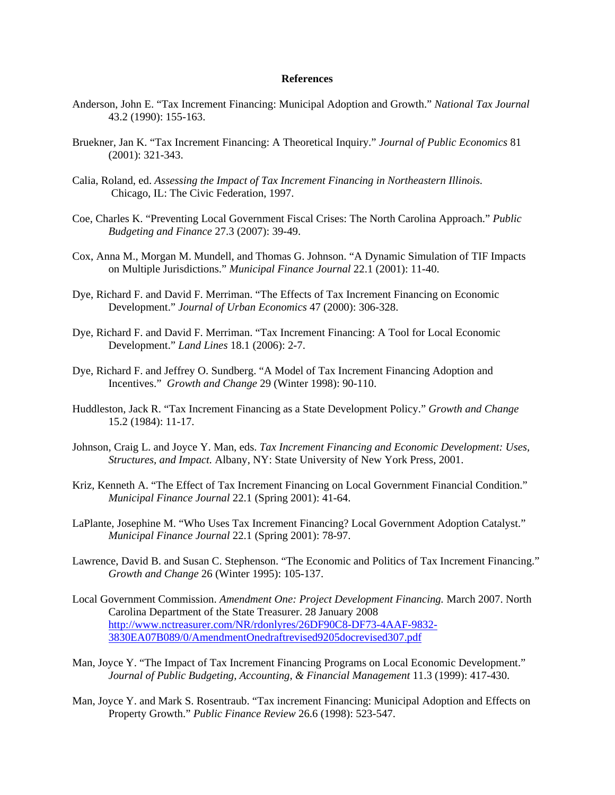#### **References**

- Anderson, John E. "Tax Increment Financing: Municipal Adoption and Growth." *National Tax Journal* 43.2 (1990): 155-163.
- Bruekner, Jan K. "Tax Increment Financing: A Theoretical Inquiry." *Journal of Public Economics* 81 (2001): 321-343.
- Calia, Roland, ed. *Assessing the Impact of Tax Increment Financing in Northeastern Illinois.*  Chicago, IL: The Civic Federation, 1997.
- Coe, Charles K. "Preventing Local Government Fiscal Crises: The North Carolina Approach." *Public Budgeting and Finance* 27.3 (2007): 39-49.
- Cox, Anna M., Morgan M. Mundell, and Thomas G. Johnson. "A Dynamic Simulation of TIF Impacts on Multiple Jurisdictions." *Municipal Finance Journal* 22.1 (2001): 11-40.
- Dye, Richard F. and David F. Merriman. "The Effects of Tax Increment Financing on Economic Development." *Journal of Urban Economics* 47 (2000): 306-328.
- Dye, Richard F. and David F. Merriman. "Tax Increment Financing: A Tool for Local Economic Development." *Land Lines* 18.1 (2006): 2-7.
- Dye, Richard F. and Jeffrey O. Sundberg. "A Model of Tax Increment Financing Adoption and Incentives." *Growth and Change* 29 (Winter 1998): 90-110.
- Huddleston, Jack R. "Tax Increment Financing as a State Development Policy." *Growth and Change*  15.2 (1984): 11-17.
- Johnson, Craig L. and Joyce Y. Man, eds. *Tax Increment Financing and Economic Development: Uses, Structures, and Impact.* Albany, NY: State University of New York Press, 2001.
- Kriz, Kenneth A. "The Effect of Tax Increment Financing on Local Government Financial Condition." *Municipal Finance Journal* 22.1 (Spring 2001): 41-64.
- LaPlante, Josephine M. "Who Uses Tax Increment Financing? Local Government Adoption Catalyst." *Municipal Finance Journal* 22.1 (Spring 2001): 78-97.
- Lawrence, David B. and Susan C. Stephenson. "The Economic and Politics of Tax Increment Financing." *Growth and Change* 26 (Winter 1995): 105-137.
- Local Government Commission. *Amendment One: Project Development Financing.* March 2007. North Carolina Department of the State Treasurer. 28 January 2008 [http://www.nctreasurer.com/NR/rdonlyres/26DF90C8-DF73-4AAF-9832-](http://www.nctreasurer.com/NR/rdonlyres/26DF90C8-DF73-4AAF-9832-3830EA07B089/0/AmendmentOnedraftrevised9205docrevised307.pdf) [3830EA07B089/0/AmendmentOnedraftrevised9205docrevised307.pdf](http://www.nctreasurer.com/NR/rdonlyres/26DF90C8-DF73-4AAF-9832-3830EA07B089/0/AmendmentOnedraftrevised9205docrevised307.pdf)
- Man, Joyce Y. "The Impact of Tax Increment Financing Programs on Local Economic Development." *Journal of Public Budgeting, Accounting, & Financial Management* 11.3 (1999): 417-430.
- Man, Joyce Y. and Mark S. Rosentraub. "Tax increment Financing: Municipal Adoption and Effects on Property Growth." *Public Finance Review* 26.6 (1998): 523-547.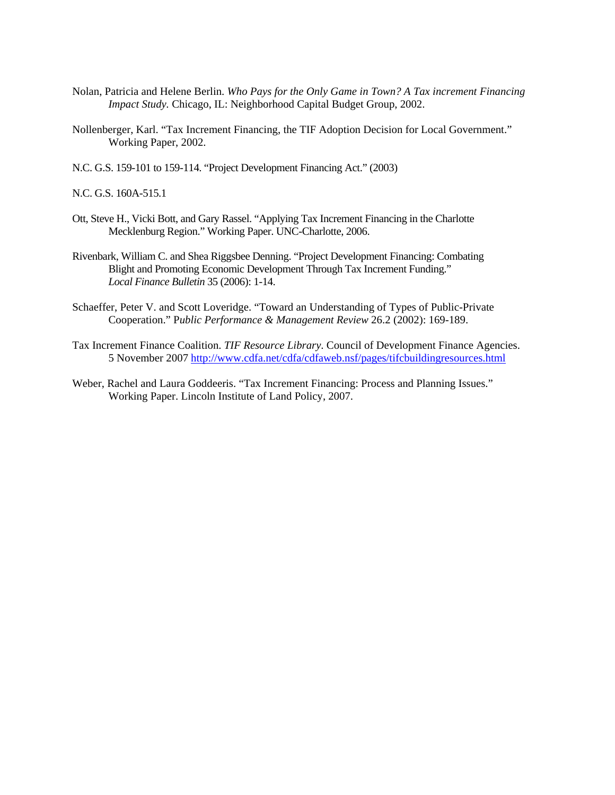- Nolan, Patricia and Helene Berlin. *Who Pays for the Only Game in Town? A Tax increment Financing Impact Study.* Chicago, IL: Neighborhood Capital Budget Group, 2002.
- Nollenberger, Karl. "Tax Increment Financing, the TIF Adoption Decision for Local Government." Working Paper, 2002.
- N.C. G.S. 159-101 to 159-114. "Project Development Financing Act." (2003)

N.C. G.S. 160A-515.1

- Ott, Steve H., Vicki Bott, and Gary Rassel. "Applying Tax Increment Financing in the Charlotte Mecklenburg Region." Working Paper. UNC-Charlotte, 2006.
- Rivenbark, William C. and Shea Riggsbee Denning. "Project Development Financing: Combating Blight and Promoting Economic Development Through Tax Increment Funding." *Local Finance Bulletin* 35 (2006): 1-14.
- Schaeffer, Peter V. and Scott Loveridge. "Toward an Understanding of Types of Public-Private Cooperation." P*ublic Performance & Management Review* 26.2 (2002): 169-189.
- Tax Increment Finance Coalition. *TIF Resource Library*. Council of Development Finance Agencies. 5 November 2007<http://www.cdfa.net/cdfa/cdfaweb.nsf/pages/tifcbuildingresources.html>
- Weber, Rachel and Laura Goddeeris. "Tax Increment Financing: Process and Planning Issues." Working Paper. Lincoln Institute of Land Policy, 2007.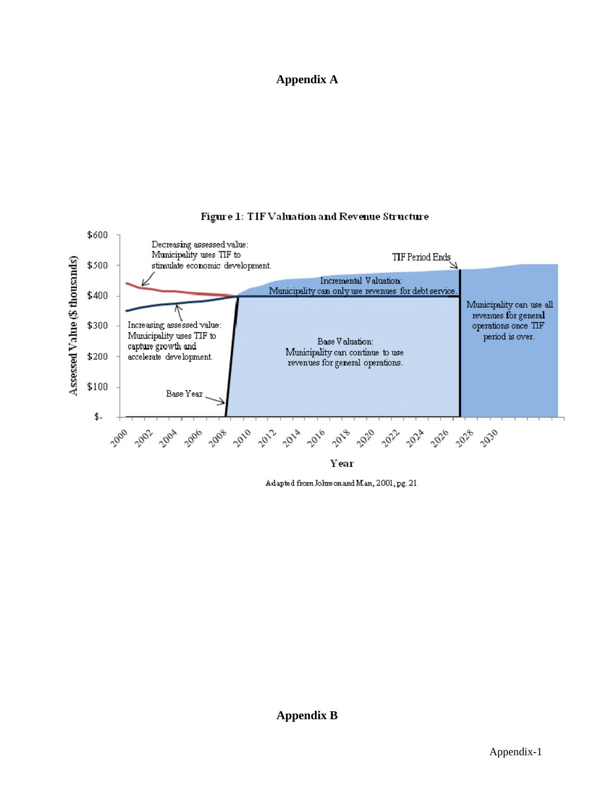# **Appendix A**



## Figure 1: TIF Valuation and Revenue Structure

Adapted from Johnson and Man, 2001, pg. 21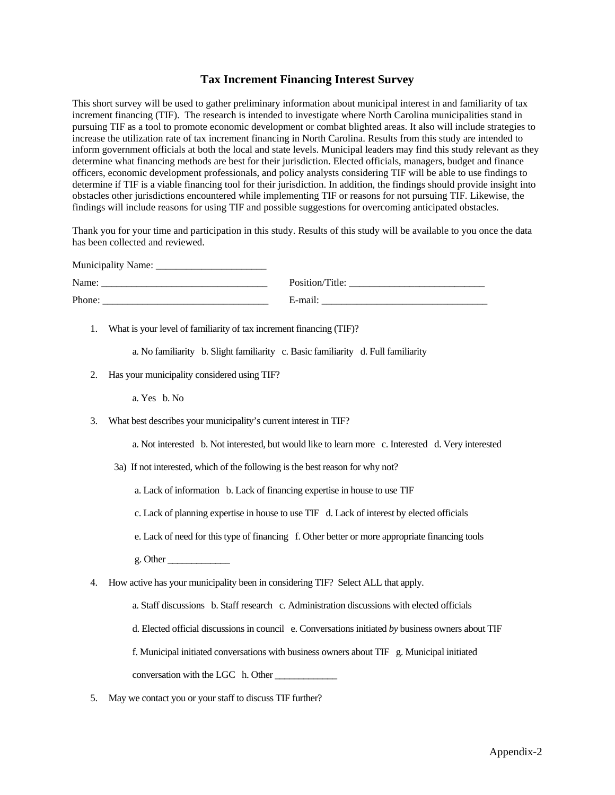## **Tax Increment Financing Interest Survey**

This short survey will be used to gather preliminary information about municipal interest in and familiarity of tax increment financing (TIF). The research is intended to investigate where North Carolina municipalities stand in pursuing TIF as a tool to promote economic development or combat blighted areas. It also will include strategies to increase the utilization rate of tax increment financing in North Carolina. Results from this study are intended to inform government officials at both the local and state levels. Municipal leaders may find this study relevant as they determine what financing methods are best for their jurisdiction. Elected officials, managers, budget and finance officers, economic development professionals, and policy analysts considering TIF will be able to use findings to determine if TIF is a viable financing tool for their jurisdiction. In addition, the findings should provide insight into obstacles other jurisdictions encountered while implementing TIF or reasons for not pursuing TIF. Likewise, the findings will include reasons for using TIF and possible suggestions for overcoming anticipated obstacles.

Thank you for your time and participation in this study. Results of this study will be available to you once the data has been collected and reviewed.

| Municipality Name: |                 |
|--------------------|-----------------|
| Name:              | Position/Title: |
| Phone:             | E-mail:         |

1. What is your level of familiarity of tax increment financing (TIF)?

a. No familiarity b. Slight familiarity c. Basic familiarity d. Full familiarity

2. Has your municipality considered using TIF?

a. Yes b. No

3. What best describes your municipality's current interest in TIF?

a. Not interested b. Not interested, but would like to learn more c. Interested d. Very interested

3a) If not interested, which of the following is the best reason for why not?

a. Lack of information b. Lack of financing expertise in house to use TIF

c. Lack of planning expertise in house to use TIF d. Lack of interest by elected officials

- e. Lack of need for this type of financing f. Other better or more appropriate financing tools
- g. Other \_\_\_\_\_\_\_\_\_\_\_\_\_
- 4. How active has your municipality been in considering TIF? Select ALL that apply.
	- a. Staff discussions b. Staff research c. Administration discussions with elected officials
	- d. Elected official discussions in council e. Conversations initiated *by* business owners about TIF
	- f. Municipal initiated conversations with business owners about TIF g. Municipal initiated

conversation with the LGC h. Other

5. May we contact you or your staff to discuss TIF further?